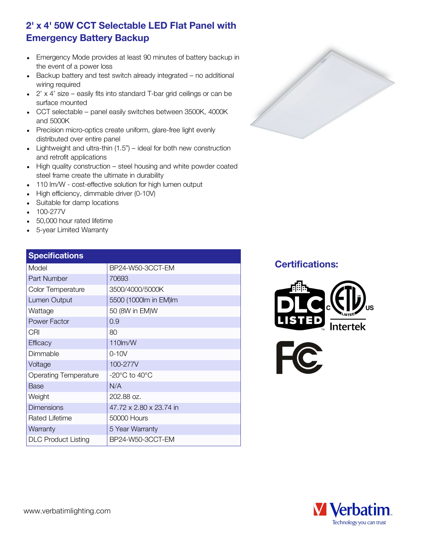## 2' x 4' 50W CCT Selectable LED Flat Panel with Emergency Battery Backup

- Emergency Mode provides at least 90 minutes of battery backup in the event of a power loss
- Backup battery and test switch already integrated no additional wiring required
- 2' x 4' size easily fits into standard T-bar grid ceilings or can be  $\bullet$ surface mounted
- CCT selectable panel easily switches between 3500K, 4000K and 5000K
- Precision micro-optics create uniform, glare-free light evenly distributed over entire panel
- Lightweight and ultra-thin  $(1.5")$  ideal for both new construction and retrofit applications
- High quality construction steel housing and white powder coated steel frame create the ultimate in durability
- 110 lm/W cost-effective solution for high lumen output
- High efficiency, dimmable driver (0-10V)
- Suitable for damp locations
- 100-277V
- 50,000 hour rated lifetime
- 5-year Limited Warranty

# **Specifications** Model BP24-W50-3CCT-EM Part Number 70693 Color Temperature 3500/4000/5000K Wattage 50 (8W in EM)W Power Factor [0.9]

| Lumen Output                 | 5500 (1000lm in EM)lm             |
|------------------------------|-----------------------------------|
| Wattage                      | 50 (8W in EM)W                    |
| Power Factor                 | 0.9                               |
| CRI                          | 80                                |
| <b>Efficacy</b>              | $110$ m/W                         |
| Dimmable                     | $0 - 10V$                         |
| Voltage                      | 100-277V                          |
| <b>Operating Temperature</b> | $-20^{\circ}$ C to $40^{\circ}$ C |
| Base                         | N/A                               |
| Weight                       | 202.88 oz.                        |
| <b>Dimensions</b>            | 47.72 x 2.80 x 23.74 in           |
| Rated Lifetime               | 50000 Hours                       |
| Warranty                     | 5 Year Warranty                   |
| <b>DLC Product Listing</b>   | BP24-W50-3CCT-EM                  |

### Certifications: